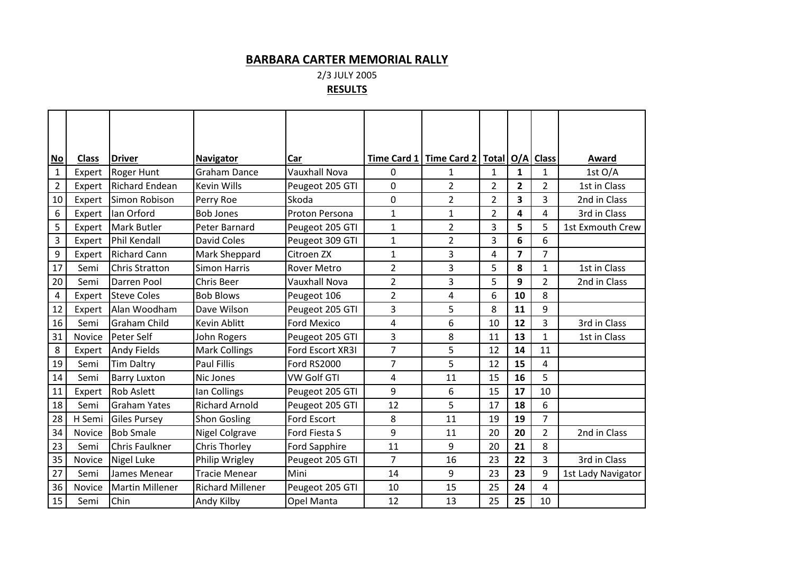## **BARBARA CARTER MEMORIAL RALLY**

2/3 JULY 2005

## **RESULTS**

| No           | <b>Class</b> | <b>Driver</b>          | <b>Navigator</b>        | Car                  |                | Time Card 1   Time Card 2   Total   O/A |                |              | <b>Class</b>   | Award              |
|--------------|--------------|------------------------|-------------------------|----------------------|----------------|-----------------------------------------|----------------|--------------|----------------|--------------------|
| $\mathbf{1}$ | Expert       | <b>Roger Hunt</b>      | <b>Graham Dance</b>     | <b>Vauxhall Nova</b> | 0              | 1                                       | 1              | $\mathbf{1}$ | $\mathbf{1}$   | 1st O/A            |
| 2            | Expert       | <b>Richard Endean</b>  | <b>Kevin Wills</b>      | Peugeot 205 GTI      | 0              | $\overline{2}$                          | 2              | 2            | $\overline{2}$ | 1st in Class       |
| 10           | Expert       | Simon Robison          | Perry Roe               | Skoda                | 0              | $\overline{2}$                          | $\overline{2}$ | 3            | $\overline{3}$ | 2nd in Class       |
| 6            | Expert       | Ian Orford             | <b>Bob Jones</b>        | Proton Persona       | $\mathbf{1}$   | $\mathbf{1}$                            | 2              | 4            | 4              | 3rd in Class       |
| 5            | Expert       | <b>Mark Butler</b>     | Peter Barnard           | Peugeot 205 GTI      | 1              | $\overline{2}$                          | 3              | 5            | 5              | 1st Exmouth Crew   |
| 3            | Expert       | Phil Kendall           | <b>David Coles</b>      | Peugeot 309 GTI      | $\mathbf{1}$   | $\overline{2}$                          | 3              | 6            | 6              |                    |
| 9            | Expert       | <b>Richard Cann</b>    | Mark Sheppard           | Citroen ZX           | 1              | 3                                       | 4              | 7            | $\overline{7}$ |                    |
| 17           | Semi         | <b>Chris Stratton</b>  | <b>Simon Harris</b>     | <b>Rover Metro</b>   | $\overline{2}$ | 3                                       | 5              | 8            | $\mathbf 1$    | 1st in Class       |
| 20           | Semi         | Darren Pool            | Chris Beer              | <b>Vauxhall Nova</b> | $\overline{2}$ | 3                                       | 5              | 9            | $\overline{2}$ | 2nd in Class       |
| 4            | Expert       | <b>Steve Coles</b>     | <b>Bob Blows</b>        | Peugeot 106          | $\overline{2}$ | 4                                       | 6              | 10           | 8              |                    |
| 12           | Expert       | Alan Woodham           | Dave Wilson             | Peugeot 205 GTI      | 3              | 5                                       | 8              | 11           | 9              |                    |
| 16           | Semi         | <b>Graham Child</b>    | Kevin Ablitt            | <b>Ford Mexico</b>   | 4              | 6                                       | 10             | 12           | 3              | 3rd in Class       |
| 31           | Novice       | Peter Self             | John Rogers             | Peugeot 205 GTI      | 3              | 8                                       | 11             | 13           | $\mathbf{1}$   | 1st in Class       |
| $\bf 8$      | Expert       | <b>Andy Fields</b>     | <b>Mark Collings</b>    | Ford Escort XR3I     | 7              | 5                                       | 12             | 14           | 11             |                    |
| 19           | Semi         | <b>Tim Daltry</b>      | <b>Paul Fillis</b>      | Ford RS2000          | 7              | 5                                       | 12             | 15           | 4              |                    |
| 14           | Semi         | <b>Barry Luxton</b>    | Nic Jones               | <b>VW Golf GTI</b>   | 4              | 11                                      | 15             | 16           | 5              |                    |
| 11           | Expert       | <b>Rob Aslett</b>      | lan Collings            | Peugeot 205 GTI      | 9              | 6                                       | 15             | 17           | 10             |                    |
| 18           | Semi         | Graham Yates           | <b>Richard Arnold</b>   | Peugeot 205 GTI      | 12             | 5                                       | 17             | 18           | 6              |                    |
| 28           | H Semi       | <b>Giles Pursey</b>    | <b>Shon Gosling</b>     | Ford Escort          | 8              | 11                                      | 19             | 19           | $\overline{7}$ |                    |
| 34           | Novice       | <b>Bob Smale</b>       | <b>Nigel Colgrave</b>   | Ford Fiesta S        | 9              | 11                                      | 20             | 20           | $\overline{2}$ | 2nd in Class       |
| 23           | Semi         | Chris Faulkner         | <b>Chris Thorley</b>    | Ford Sapphire        | 11             | 9                                       | 20             | 21           | 8              |                    |
| 35           | Novice       | Nigel Luke             | Philip Wrigley          | Peugeot 205 GTI      | $\overline{7}$ | 16                                      | 23             | 22           | 3              | 3rd in Class       |
| 27           | Semi         | James Menear           | <b>Tracie Menear</b>    | Mini                 | 14             | 9                                       | 23             | 23           | 9              | 1st Lady Navigator |
| 36           | Novice       | <b>Martin Millener</b> | <b>Richard Millener</b> | Peugeot 205 GTI      | 10             | 15                                      | 25             | 24           | 4              |                    |
| 15           | Semi         | Chin                   | Andy Kilby              | Opel Manta           | 12             | 13                                      | 25             | 25           | 10             |                    |